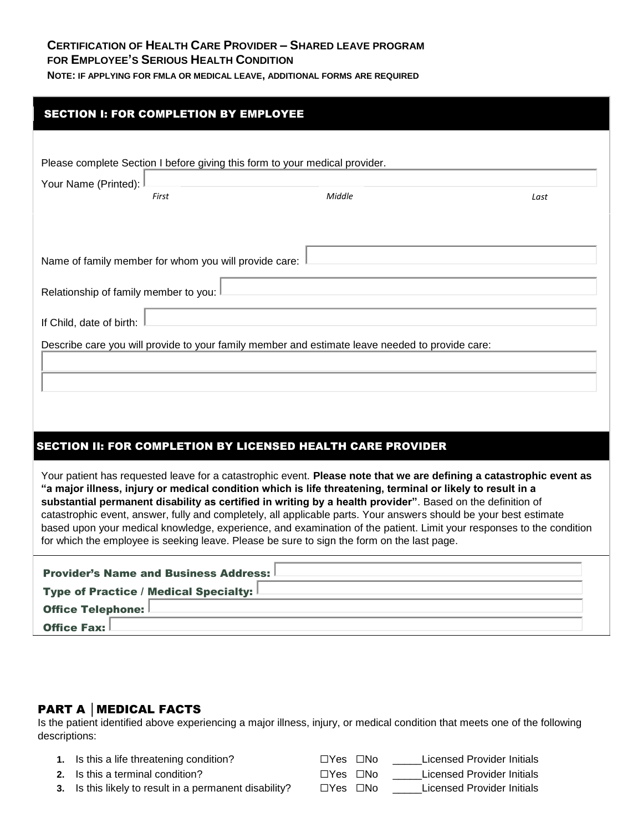## **CERTIFICATION OF HEALTH CARE PROVIDER – SHARED LEAVE PROGRAM FOR EMPLOYEE'S SERIOUS HEALTH CONDITION**

**NOTE: IF APPLYING FOR FMLA OR MEDICAL LEAVE, ADDITIONAL FORMS ARE REQUIRED**

| <b>SECTION I: FOR COMPLETION BY EMPLOYEE</b>                                |                                                                                                                                                                                                                                           |      |
|-----------------------------------------------------------------------------|-------------------------------------------------------------------------------------------------------------------------------------------------------------------------------------------------------------------------------------------|------|
|                                                                             |                                                                                                                                                                                                                                           |      |
| Please complete Section I before giving this form to your medical provider. |                                                                                                                                                                                                                                           |      |
| Your Name (Printed):<br>First                                               | Middle                                                                                                                                                                                                                                    | Last |
|                                                                             |                                                                                                                                                                                                                                           |      |
|                                                                             |                                                                                                                                                                                                                                           |      |
| Name of family member for whom you will provide care:                       |                                                                                                                                                                                                                                           |      |
| Relationship of family member to you:                                       |                                                                                                                                                                                                                                           |      |
| If Child, date of birth:                                                    |                                                                                                                                                                                                                                           |      |
|                                                                             | Describe care you will provide to your family member and estimate leave needed to provide care:                                                                                                                                           |      |
|                                                                             |                                                                                                                                                                                                                                           |      |
|                                                                             |                                                                                                                                                                                                                                           |      |
|                                                                             |                                                                                                                                                                                                                                           |      |
|                                                                             | SECTION II: FOR COMPLETION BY LICENSED HEALTH CARE PROVIDER                                                                                                                                                                               |      |
|                                                                             | Your patient has requested leave for a catastrophic event. Please note that we are defining a catastrophic event as<br>"a major illness, injury or medical condition which is life threatening, terminal or likely to result in a         |      |
|                                                                             | substantial permanent disability as certified in writing by a health provider". Based on the definition of                                                                                                                                |      |
|                                                                             | catastrophic event, answer, fully and completely, all applicable parts. Your answers should be your best estimate<br>based upon your medical knowledge, experience, and examination of the patient. Limit your responses to the condition |      |
|                                                                             | for which the employee is seeking leave. Please be sure to sign the form on the last page.                                                                                                                                                |      |
| <b>Provider's Name and Business Address:</b>                                |                                                                                                                                                                                                                                           |      |
| <b>Type of Practice / Medical Specialty:</b>                                |                                                                                                                                                                                                                                           |      |
| <b>Office Telephone:</b><br><b>Office Fax:</b>                              |                                                                                                                                                                                                                                           |      |

## PART A │MEDICAL FACTS

Is the patient identified above experiencing a major illness, injury, or medical condition that meets one of the following descriptions:

- **1.** Is this a life threatening condition? □Yes □No \_\_\_\_Licensed Provider Initials **2.** Is this a terminal condition? ☐Yes ☐No \_\_\_\_\_Licensed Provider Initials
- **3.** Is this likely to result in a permanent disability? □Yes □No \_\_\_\_Licensed Provider Initials